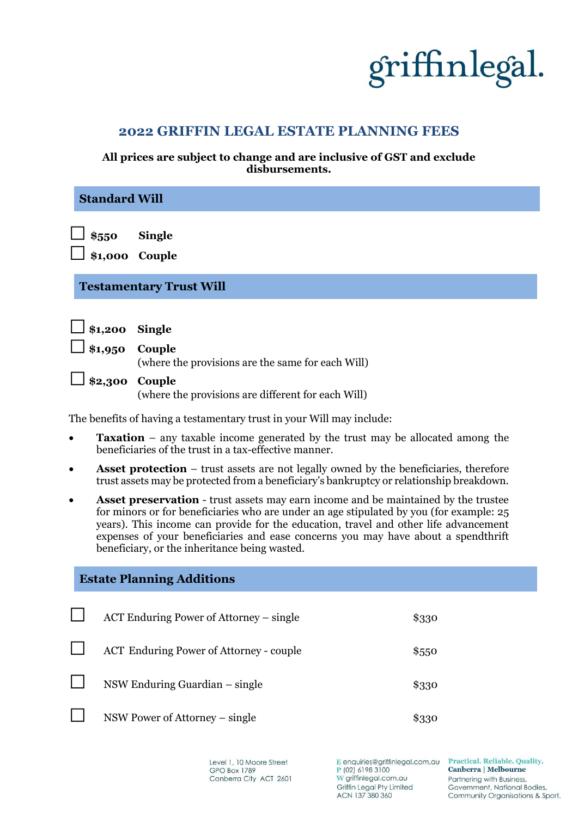# griffinlegal.

### **2022 GRIFFIN LEGAL ESTATE PLANNING FEES**

#### **All prices are subject to change and are inclusive of GST and exclude disbursements.**

| <b>Standard Will</b>                                                  |                                                                                                                                                                                                                                                                                                                                                                                                                    |                                                              |       |  |  |  |
|-----------------------------------------------------------------------|--------------------------------------------------------------------------------------------------------------------------------------------------------------------------------------------------------------------------------------------------------------------------------------------------------------------------------------------------------------------------------------------------------------------|--------------------------------------------------------------|-------|--|--|--|
|                                                                       | $\overline{\phantom{0}}$ \$550<br>\$1,000 Couple                                                                                                                                                                                                                                                                                                                                                                   | <b>Single</b>                                                |       |  |  |  |
| <b>Testamentary Trust Will</b>                                        |                                                                                                                                                                                                                                                                                                                                                                                                                    |                                                              |       |  |  |  |
|                                                                       | \$1,200                                                                                                                                                                                                                                                                                                                                                                                                            | <b>Single</b>                                                |       |  |  |  |
|                                                                       | \$1,950                                                                                                                                                                                                                                                                                                                                                                                                            | Couple<br>(where the provisions are the same for each Will)  |       |  |  |  |
|                                                                       | \$2,300                                                                                                                                                                                                                                                                                                                                                                                                            | Couple<br>(where the provisions are different for each Will) |       |  |  |  |
| The benefits of having a testamentary trust in your Will may include: |                                                                                                                                                                                                                                                                                                                                                                                                                    |                                                              |       |  |  |  |
| $\bullet$                                                             | <b>Taxation</b> – any taxable income generated by the trust may be allocated among the<br>beneficiaries of the trust in a tax-effective manner.                                                                                                                                                                                                                                                                    |                                                              |       |  |  |  |
| ٠                                                                     | <b>Asset protection</b> – trust assets are not legally owned by the beneficiaries, therefore<br>trust assets may be protected from a beneficiary's bankruptcy or relationship breakdown.                                                                                                                                                                                                                           |                                                              |       |  |  |  |
| $\bullet$                                                             | <b>Asset preservation</b> - trust assets may earn income and be maintained by the trustee<br>for minors or for beneficiaries who are under an age stipulated by you (for example: 25<br>years). This income can provide for the education, travel and other life advancement<br>expenses of your beneficiaries and ease concerns you may have about a spendthrift<br>beneficiary, or the inheritance being wasted. |                                                              |       |  |  |  |
| <b>Estate Planning Additions</b>                                      |                                                                                                                                                                                                                                                                                                                                                                                                                    |                                                              |       |  |  |  |
|                                                                       |                                                                                                                                                                                                                                                                                                                                                                                                                    | ACT Enduring Power of Attorney - single                      | \$330 |  |  |  |
|                                                                       |                                                                                                                                                                                                                                                                                                                                                                                                                    | <b>ACT Enduring Power of Attorney - couple</b>               | \$550 |  |  |  |
|                                                                       |                                                                                                                                                                                                                                                                                                                                                                                                                    | NSW Enduring Guardian – single                               | \$330 |  |  |  |

 $\blacksquare$ NSW Power of Attorney – single \$330

> Level 1, 10 Moore Street **GPO Box 1789** Canberra City ACT 2601

E enquiries@griffinlegal.com.au P (02) 6198 3100 W griffinlegal.com.au Griffin Legal Pty Limited ACN 137 380 360

Practical, Reliable. Quality. Canberra | Melbourne Partnering with Business, Government, National Bodies, Community Organisations & Sport.